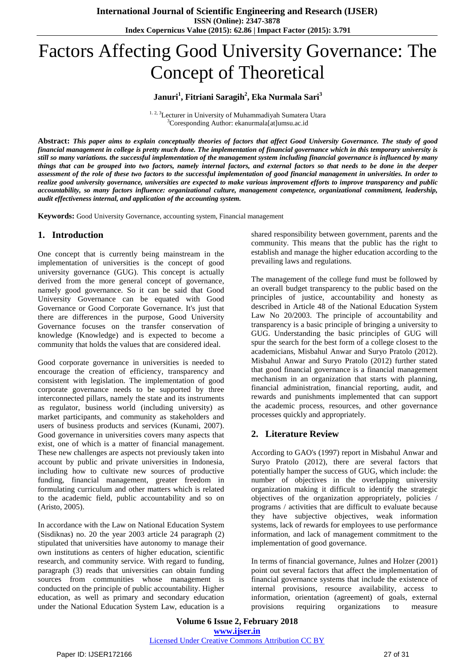# Factors Affecting Good University Governance: The Concept of Theoretical

## **Januri<sup>1</sup> , Fitriani Saragih<sup>2</sup> , Eka Nurmala Sari<sup>3</sup>**

<sup>1. 2, 3</sup>Lecturer in University of Muhammadiyah Sumatera Utara <sup>3</sup>Coresponding Author: ekanurmala[at]umsu.ac.id

Abstract: This paper aims to explain conceptually theories of factors that affect Good University Governance. The study of good financial management in college is pretty much done. The implementation of financial governance which in this temporary university is still so many variations. the successful implementation of the management system including financial governance is influenced by many things that can be grouped into two factors, namely internal factors, and external factors so that needs to be done in the deeper assessment of the role of these two factors to the successful implementation of good financial management in universities. In order to realize good university governance, universities are expected to make various improvement efforts to improve transparency and public *accountability, so many factors influence: organizational culture, management competence, organizational commitment, leadership, audit effectiveness internal, and application of the accounting system.*

**Keywords:** Good University Governance, accounting system, Financial management

#### **1. Introduction**

One concept that is currently being mainstream in the implementation of universities is the concept of good university governance (GUG). This concept is actually derived from the more general concept of governance, namely good governance. So it can be said that Good University Governance can be equated with Good Governance or Good Corporate Governance. It's just that there are differences in the purpose, Good University Governance focuses on the transfer conservation of knowledge (Knowledge) and is expected to become a community that holds the values that are considered ideal.

Good corporate governance in universities is needed to encourage the creation of efficiency, transparency and consistent with legislation. The implementation of good corporate governance needs to be supported by three interconnected pillars, namely the state and its instruments as regulator, business world (including university) as market participants, and community as stakeholders and users of business products and services (Kunami, 2007). Good governance in universities covers many aspects that exist, one of which is a matter of financial management. These new challenges are aspects not previously taken into account by public and private universities in Indonesia, including how to cultivate new sources of productive funding, financial management, greater freedom in formulating curriculum and other matters which is related to the academic field, public accountability and so on (Aristo, 2005).

In accordance with the Law on National Education System (Sisdiknas) no. 20 the year 2003 article 24 paragraph (2) stipulated that universities have autonomy to manage their own institutions as centers of higher education, scientific research, and community service. With regard to funding, paragraph (3) reads that universities can obtain funding sources from communities whose management is conducted on the principle of public accountability. Higher education, as well as primary and secondary education under the National Education System Law, education is a

shared responsibility between government, parents and the community. This means that the public has the right to establish and manage the higher education according to the prevailing laws and regulations.

The management of the college fund must be followed by an overall budget transparency to the public based on the principles of justice, accountability and honesty as described in Article 48 of the National Education System Law No 20/2003. The principle of accountability and transparency is a basic principle of bringing a university to GUG. Understanding the basic principles of GUG will spur the search for the best form of a college closest to the academicians, Misbahul Anwar and Suryo Pratolo (2012). Misbahul Anwar and Suryo Pratolo (2012) further stated that good financial governance is a financial management mechanism in an organization that starts with planning, financial administration, financial reporting, audit, and rewards and punishments implemented that can support the academic process, resources, and other governance processes quickly and appropriately.

#### **2. Literature Review**

According to GAO's (1997) report in Misbahul Anwar and Suryo Pratolo (2012), there are several factors that potentially hamper the success of GUG, which include: the number of objectives in the overlapping university organization making it difficult to identify the strategic objectives of the organization appropriately, policies / programs / activities that are difficult to evaluate because they have subjective objectives, weak information systems, lack of rewards for employees to use performance information, and lack of management commitment to the implementation of good governance.

In terms of financial governance, Julnes and Holzer (2001) point out several factors that affect the implementation of financial governance systems that include the existence of internal provisions, resource availability, access to information, orientation (agreement) of goals, external provisions requiring organizations to measure

**Volume 6 Issue 2, February 2018 <www.ijser.in>** [Licensed Under Creative Commons Attribution CC BY](http://creativecommons.org/licenses/by/4.0/)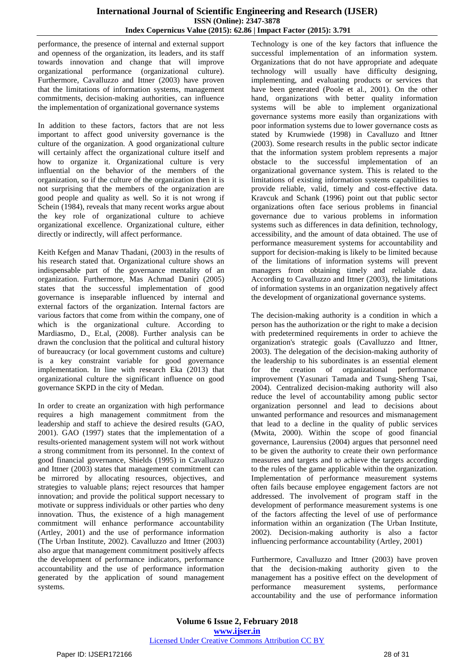performance, the presence of internal and external support and openness of the organization, its leaders, and its staff towards innovation and change that will improve organizational performance (organizational culture). Furthermore, Cavalluzzo and Ittner (2003) have proven that the limitations of information systems, management commitments, decision-making authorities, can influence the implementation of organizational governance systems

In addition to these factors, factors that are not less important to affect good university governance is the culture of the organization. A good organizational culture will certainly affect the organizational culture itself and how to organize it. Organizational culture is very influential on the behavior of the members of the organization, so if the culture of the organization then it is not surprising that the members of the organization are good people and quality as well. So it is not wrong if Schein (1984), reveals that many recent works argue about the key role of organizational culture to achieve organizational excellence. Organizational culture, either directly or indirectly, will affect performance.

Keith Kefgen and Manav Thadani, (2003) in the results of his research stated that. Organizational culture shows an indispensable part of the governance mentality of an organization. Furthermore, Mas Achmad Daniri (2005) states that the successful implementation of good governance is inseparable influenced by internal and external factors of the organization. Internal factors are various factors that come from within the company, one of which is the organizational culture. According to Mardiasmo, D., Et.al, (2008). Further analysis can be drawn the conclusion that the political and cultural history of bureaucracy (or local government customs and culture) is a key constraint variable for good governance implementation. In line with research Eka (2013) that organizational culture the significant influence on good governance SKPD in the city of Medan.

In order to create an organization with high performance requires a high management commitment from the leadership and staff to achieve the desired results (GAO, 2001). GAO (1997) states that the implementation of a results-oriented management system will not work without a strong commitment from its personnel. In the context of good financial governance, Shields (1995) in Cavalluzzo and Ittner (2003) states that management commitment can be mirrored by allocating resources, objectives, and strategies to valuable plans; reject resources that hamper innovation; and provide the political support necessary to motivate or suppress individuals or other parties who deny innovation. Thus, the existence of a high management commitment will enhance performance accountability (Artley, 2001) and the use of performance information (The Urban Institute, 2002). Cavalluzzo and Ittner (2003) also argue that management commitment positively affects the development of performance indicators, performance accountability and the use of performance information generated by the application of sound management systems.

Technology is one of the key factors that influence the successful implementation of an information system. Organizations that do not have appropriate and adequate technology will usually have difficulty designing, implementing, and evaluating products or services that have been generated (Poole et al., 2001). On the other hand, organizations with better quality information systems will be able to implement organizational governance systems more easily than organizations with poor information systems due to lower governance costs as stated by Krumwiede (1998) in Cavalluzo and Ittner (2003). Some research results in the public sector indicate that the information system problem represents a major obstacle to the successful implementation of an organizational governance system. This is related to the limitations of existing information systems capabilities to provide reliable, valid, timely and cost-effective data. Kravcuk and Schank (1996) point out that public sector organizations often face serious problems in financial governance due to various problems in information systems such as differences in data definition, technology, accessibility, and the amount of data obtained. The use of performance measurement systems for accountability and support for decision-making is likely to be limited because of the limitations of information systems will prevent managers from obtaining timely and reliable data. According to Cavalluzzo and Ittner (2003), the limitations of information systems in an organization negatively affect the development of organizational governance systems.

The decision-making authority is a condition in which a person has the authorization or the right to make a decision with predetermined requirements in order to achieve the organization's strategic goals (Cavalluzzo and Ittner, 2003). The delegation of the decision-making authority of the leadership to his subordinates is an essential element for the creation of organizational performance improvement (Yasunari Tamada and Tsung-Sheng Tsai, 2004). Centralized decision-making authority will also reduce the level of accountability among public sector organization personnel and lead to decisions about unwanted performance and resources and mismanagement that lead to a decline in the quality of public services (Mwita, 2000). Within the scope of good financial governance, Laurensius (2004) argues that personnel need to be given the authority to create their own performance measures and targets and to achieve the targets according to the rules of the game applicable within the organization. Implementation of performance measurement systems often fails because employee engagement factors are not addressed. The involvement of program staff in the development of performance measurement systems is one of the factors affecting the level of use of performance information within an organization (The Urban Institute, 2002). Decision-making authority is also a factor influencing performance accountability (Artley, 2001)

Furthermore, Cavalluzzo and Ittner (2003) have proven that the decision-making authority given to the management has a positive effect on the development of performance measurement systems, performance accountability and the use of performance information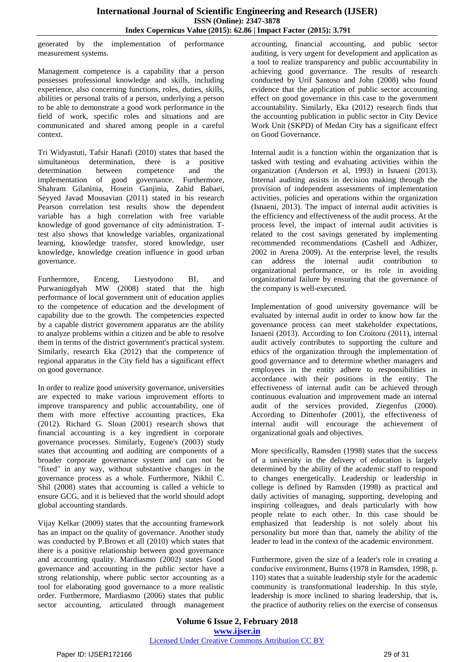generated by the implementation of performance measurement systems.

Management competence is a capability that a person possesses professional knowledge and skills, including experience, also concerning functions, roles, duties, skills, abilities or personal traits of a person, underlying a person to be able to demonstrate a good work performance in the field of work, specific roles and situations and are communicated and shared among people in a careful context.

Tri Widyastuti, Tafsir Hanafi (2010) states that based the simultaneous determination, there is a positive determination between competence and the implementation of good governance. Furthermore, Shahram Gilaninia, Hosein Ganjinia, Zahid Babaei, Seyyed Javad Mousavian (2011) stated in his research Pearson correlation test results show the dependent variable has a high correlation with free variable knowledge of good governance of city administration. Ttest also shows that knowledge variables, organizational learning, knowledge transfer, stored knowledge, user knowledge, knowledge creation influence in good urban governance.

Furthermore, Enceng, Liestyodono BI, and Purwaningdyah MW (2008) stated that the high performance of local government unit of education applies to the competence of education and the development of capability due to the growth. The competencies expected by a capable district government apparatus are the ability to analyze problems within a citizen and be able to resolve them in terms of the district government's practical system. Similarly, research Eka (2012) that the competence of regional apparatus in the City field has a significant effect on good governance.

In order to realize good university governance, universities are expected to make various improvement efforts to improve transparency and public accountability, one of them with more effective accounting practices, Eka (2012). Richard G. Sloan (2001) research shows that financial accounting is a key ingredient in corporate governance processes. Similarly, Eugene's (2003) study states that accounting and auditing are components of a broader corporate governance system and can not be "fixed" in any way, without substantive changes in the governance process as a whole. Furthermore, Nikhil C. Shil (2008) states that accounting is called a vehicle to ensure GCG, and it is believed that the world should adopt global accounting standards.

Vijay Kelkar (2009) states that the accounting framework has an impact on the quality of governance. Another study was conducted by P.Brown et all (2010) which states that there is a positive relationship between good governance and accounting quality. Mardiasmo (2002) states Good governance and accounting in the public sector have a strong relationship, where public sector accounting as a tool for elaborating good governance to a more realistic order. Furthermore, Mardiasmo (2006) states that public sector accounting, articulated through management accounting, financial accounting, and public sector auditing, is very urgent for development and application as a tool to realize transparency and public accountability in achieving good governance. The results of research conducted by Urif Santoso and John (2008) who found evidence that the application of public sector accounting effect on good governance in this case to the government accountability. Similarly, Eka (2012) research finds that the accounting publication in public sector in City Device Work Unit (SKPD) of Medan City has a significant effect on Good Governance.

Internal audit is a function within the organization that is tasked with testing and evaluating activities within the organization (Anderson et al, 1993) in Isnaeni (2013). Internal auditing assists in decision making through the provision of independent assessments of implementation activities, policies and operations within the organization (Isnaeni, 2013). The impact of internal audit activities is the efficiency and effectiveness of the audit process. At the process level, the impact of internal audit activities is related to the cost savings generated by implementing recommended recommendations (Cashell and Adhizer, 2002 in Arena 2009). At the enterprise level, the results can address the internal audit contribution to organizational performance, or its role in avoiding organizational failure by ensuring that the governance of the company is well-executed.

Implementation of good university governance will be evaluated by internal audit in order to know how far the governance process can meet stakeholder expectations, Isnaeni (2013). According to Ion Croitoru (2011), internal audit actively contributes to supporting the culture and ethics of the organization through the implementation of good governance and to determine whether managers and employees in the entity adhere to responsibilities in accordance with their positions in the entity. The effectiveness of internal audit can be achieved through continuous evaluation and improvement made an internal audit of the services provided, Ziegenfus (2000). According to Dittenhofer (2001), the effectiveness of internal audit will encourage the achievement of organizational goals and objectives.

More specifically, Ramsden (1998) states that the success of a university in the delivery of education is largely determined by the ability of the academic staff to respond to changes energetically. Leadership or leadership in college is defined by Ramsden (1998) as practical and daily activities of managing, supporting, developing and inspiring colleagues, and deals particularly with how people relate to each other. In this case should be emphasized that leadership is not solely about his personality but more than that, namely the ability of the leader to lead in the context of the academic environment.

Furthermore, given the size of a leader's role in creating a conducive environment, Burns (1978 in Ramsden, 1998, p. 110) states that a suitable leadership style for the academic community is transformational leadership. In this style, leadership is more inclined to sharing leadership, that is, the practice of authority relies on the exercise of consensus

**Volume 6 Issue 2, February 2018 <www.ijser.in>** [Licensed Under Creative Commons Attribution CC BY](http://creativecommons.org/licenses/by/4.0/)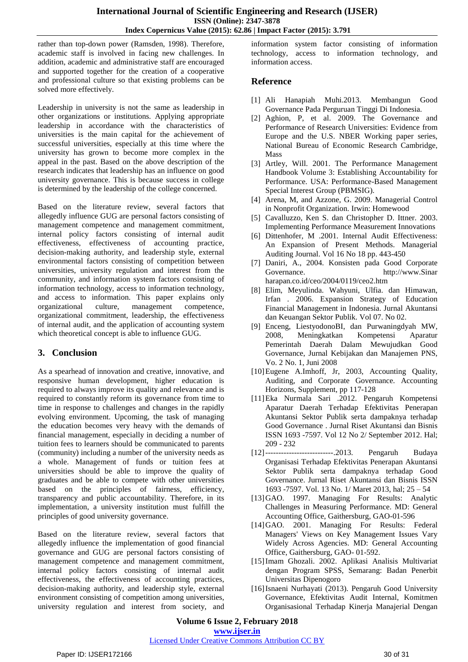rather than top-down power (Ramsden, 1998). Therefore, academic staff is involved in facing new challenges. In addition, academic and administrative staff are encouraged and supported together for the creation of a cooperative and professional culture so that existing problems can be solved more effectively.

Leadership in university is not the same as leadership in other organizations or institutions. Applying appropriate leadership in accordance with the characteristics of universities is the main capital for the achievement of successful universities, especially at this time where the university has grown to become more complex in the appeal in the past. Based on the above description of the research indicates that leadership has an influence on good university governance. This is because success in college is determined by the leadership of the college concerned.

Based on the literature review, several factors that allegedly influence GUG are personal factors consisting of management competence and management commitment, internal policy factors consisting of internal audit effectiveness, effectiveness of accounting practice, decision-making authority, and leadership style, external environmental factors consisting of competition between universities, university regulation and interest from the community, and information system factors consisting of information technology, access to information technology, and access to information. This paper explains only organizational culture, management competence, organizational commitment, leadership, the effectiveness of internal audit, and the application of accounting system which theoretical concept is able to influence GUG.

# **3. Conclusion**

As a spearhead of innovation and creative, innovative, and responsive human development, higher education is required to always improve its quality and relevance and is required to constantly reform its governance from time to time in response to challenges and changes in the rapidly evolving environment. Upcoming, the task of managing the education becomes very heavy with the demands of financial management, especially in deciding a number of tuition fees to learners should be communicated to parents (community) including a number of the university needs as a whole. Management of funds or tuition fees at universities should be able to improve the quality of graduates and be able to compete with other universities based on the principles of fairness, efficiency, transparency and public accountability. Therefore, in its implementation, a university institution must fulfill the principles of good university governance.

Based on the literature review, several factors that allegedly influence the implementation of good financial governance and GUG are personal factors consisting of management competence and management commitment, internal policy factors consisting of internal audit effectiveness, the effectiveness of accounting practices, decision-making authority, and leadership style, external environment consisting of competition among universities, university regulation and interest from society, and information system factor consisting of information technology, access to information technology, and information access.

## **Reference**

- [1] Ali Hanapiah Muhi.2013. Membangun Good Governance Pada Perguruan Tinggi Di Indonesia.
- [2] Aghion, P, et al. 2009. The Governance and Performance of Research Universities: Evidence from Europe and the U.S. NBER Working paper series, National Bureau of Economic Research Cambridge, Mass
- [3] Artley, Will. 2001. The Performance Management Handbook Volume 3: Establishing Accountability for Performance. USA: Performance-Based Management Special Interest Group (PBMSIG).
- [4] Arena, M, and Azzone, G. 2009. Managerial Control in Nonprofit Organization. Irwin: Homewood
- [5] Cavalluzzo, Ken S. dan Christopher D. Ittner. 2003. Implementing Performance Measurement Innovations
- [6] Dittenhofer, M .2001. Internal Audit Effectiveness: An Expansion of Present Methods. Managerial Auditing Journal. Vol 16 No 18 pp. 443-450
- [7] Daniri, A., 2004. Konsisten pada Good Corporate Governance. http://www.Sinar harapan.co.id/ceo/2004/0119/ceo2.htm
- [8] Elim, Meyulinda. Wahyuni, Ulfia. dan Himawan, Irfan . 2006. Expansion Strategy of Education Financial Management in Indonesia. Jurnal Akuntansi dan Keuangan Sektor Publik. Vol 07. No 02.
- [9] Enceng, LiestyodonoBI, dan Purwaningdyah MW, 2008, Meningkatkan Kompetensi Aparatur Pemerintah Daerah Dalam Mewujudkan Good Governance, Jurnal Kebijakan dan Manajemen PNS, Vo. 2 No. 1, Juni 2008
- [10]Eugene A.Imhoff, Jr, 2003, Accounting Quality, Auditing, and Corporate Governance. Accounting Horizons, Supplement, pp 117-128
- [11]Eka Nurmala Sari .2012. Pengaruh Kompetensi Aparatur Daerah Terhadap Efektivitas Penerapan Akuntansi Sektor Publik serta dampaknya terhadap Good Governance . Jurnal Riset Akuntansi dan Bisnis ISSN 1693 -7597. Vol 12 No 2/ September 2012. Hal; 209 - 232
- [12]--------------------------.2013. Pengaruh Budaya Organisasi Terhadap Efektivitas Penerapan Akuntansi Sektor Publik serta dampaknya terhadap Good Governance. Jurnal Riset Akuntansi dan Bisnis ISSN 1693 -7597. Vol. 13 No. 1/ Maret 2013, hal; 25 – 54
- [13]GAO. 1997. Managing For Results: Analytic Challenges in Measuring Performance. MD: General Accounting Office, Gaithersburg, GAO-01-596
- [14]GAO. 2001. Managing For Results: Federal Managers' Views on Key Management Issues Vary Widely Across Agencies. MD: General Accounting Office, Gaithersburg, GAO- 01-592.
- [15]Imam Ghozali. 2002. Aplikasi Analisis Multivariat dengan Program SPSS, Semarang: Badan Penerbit Universitas Dipenogoro
- [16]Isnaeni Nurhayati (2013). Pengaruh Good University Governance, Efektivitas Audit Internal, Komitmen Organisasional Terhadap Kinerja Manajerial Dengan

**Volume 6 Issue 2, February 2018 <www.ijser.in>**

#### [Licensed Under Creative Commons Attribution CC BY](http://creativecommons.org/licenses/by/4.0/)